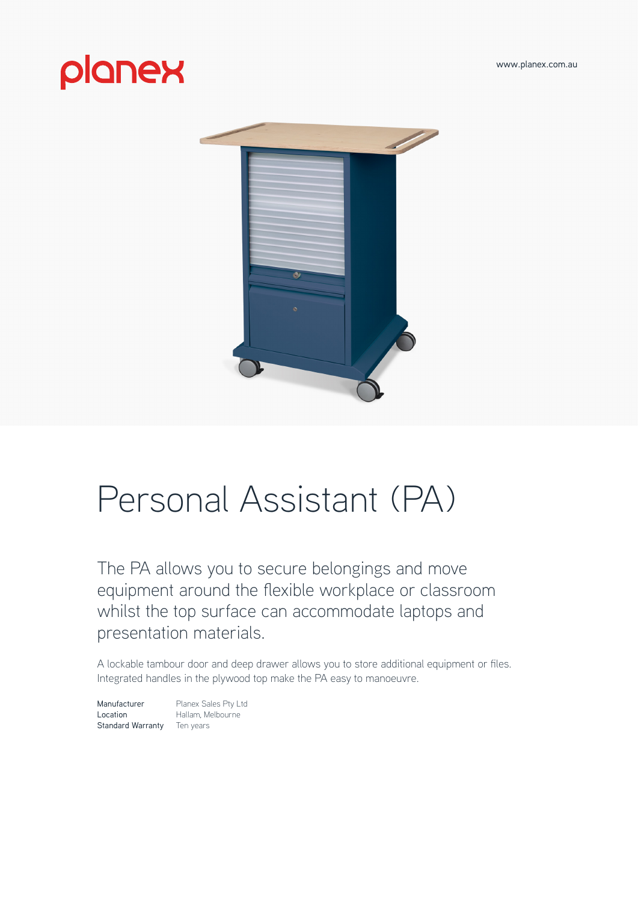[www.planex.com.au](http://www.planex.com.au)

# planex



# Personal Assistant (PA)

The PA allows you to secure belongings and move equipment around the flexible workplace or classroom whilst the top surface can accommodate laptops and presentation materials.

A lockable tambour door and deep drawer allows you to store additional equipment or files. Integrated handles in the plywood top make the PA easy to manoeuvre.

Manufacturer Planex Sales Pty Ltd Location Hallam, Melbourne Standard Warranty Ten years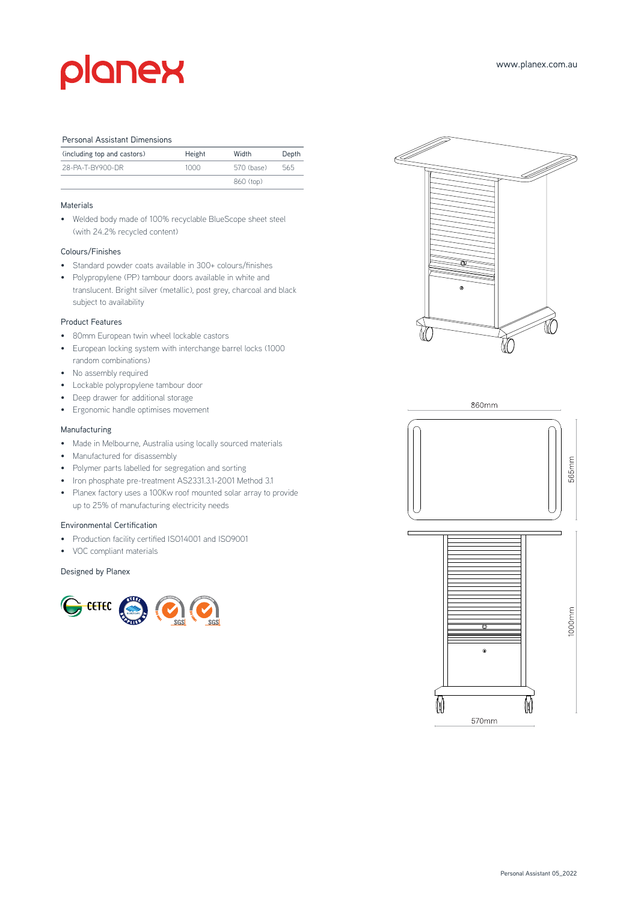# planex

#### Personal Assistant Dimensions

| (including top and castors) | Height | Width      | Depth |
|-----------------------------|--------|------------|-------|
| 28-PA-T-BY900-DR            | 1000   | 570 (base) | 565   |
|                             |        | 860 (top)  |       |

# Materials

• Welded body made of 100% recyclable BlueScope sheet steel (with 24.2% recycled content)

## Colours/Finishes

- Standard powder coats available in 300+ colours/finishes
- Polypropylene (PP) tambour doors available in white and translucent. Bright silver (metallic), post grey, charcoal and black subject to availability

#### Product Features

- 80mm European twin wheel lockable castors
- European locking system with interchange barrel locks (1000 random combinations)
- No assembly required
- Lockable polypropylene tambour door
- Deep drawer for additional storage
- Ergonomic handle optimises movement

## Manufacturing

- Made in Melbourne, Australia using locally sourced materials
- Manufactured for disassembly
- Polymer parts labelled for segregation and sorting
- Iron phosphate pre-treatment AS2331.3.1-2001 Method 3.1
- Planex factory uses a 100Kw roof mounted solar array to provide up to 25% of manufacturing electricity needs

### Environmental Certification

- Production facility certified ISO14001 and ISO9001
- VOC compliant materials

### Designed by Planex







ര

570mm